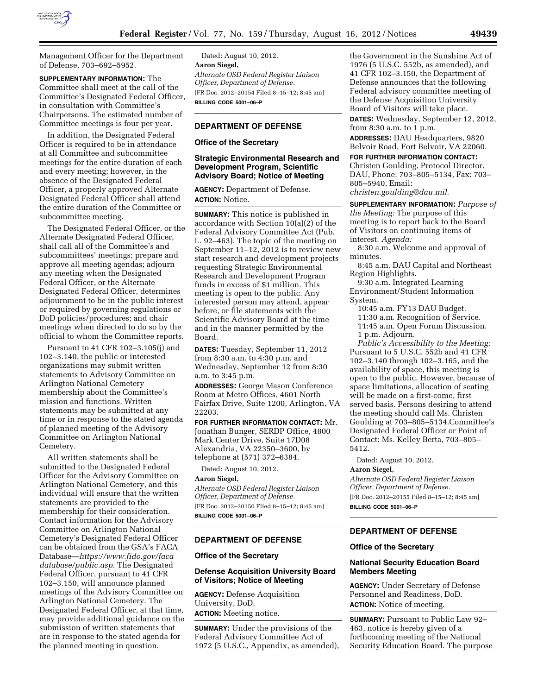

Management Officer for the Department of Defense, 703–692–5952.

**SUPPLEMENTARY INFORMATION:** The Committee shall meet at the call of the Committee's Designated Federal Officer, in consultation with Committee's Chairpersons. The estimated number of Committee meetings is four per year.

In addition, the Designated Federal Officer is required to be in attendance at all Committee and subcommittee meetings for the entire duration of each and every meeting; however, in the absence of the Designated Federal Officer, a properly approved Alternate Designated Federal Officer shall attend the entire duration of the Committee or subcommittee meeting.

The Designated Federal Officer, or the Alternate Designated Federal Officer, shall call all of the Committee's and subcommittees' meetings; prepare and approve all meeting agendas; adjourn any meeting when the Designated Federal Officer, or the Alternate Designated Federal Officer, determines adjournment to be in the public interest or required by governing regulations or DoD policies/procedures; and chair meetings when directed to do so by the official to whom the Committee reports.

Pursuant to 41 CFR 102–3.105(j) and 102–3.140, the public or interested organizations may submit written statements to Advisory Committee on Arlington National Cemetery membership about the Committee's mission and functions. Written statements may be submitted at any time or in response to the stated agenda of planned meeting of the Advisory Committee on Arlington National Cemetery.

All written statements shall be submitted to the Designated Federal Officer for the Advisory Committee on Arlington National Cemetery, and this individual will ensure that the written statements are provided to the membership for their consideration. Contact information for the Advisory Committee on Arlington National Cemetery's Designated Federal Officer can be obtained from the GSA's FACA Database—*[https://www.fido.gov/faca](https://www.fido.gov/facadatabase/public.asp) [database/public.asp](https://www.fido.gov/facadatabase/public.asp)*. The Designated Federal Officer, pursuant to 41 CFR 102–3.150, will announce planned meetings of the Advisory Committee on Arlington National Cemetery. The Designated Federal Officer, at that time, may provide additional guidance on the submission of written statements that are in response to the stated agenda for the planned meeting in question.

Dated: August 10, 2012. **Aaron Siegel,**  *Alternate OSD Federal Register Liaison Officer, Department of Defense.*  [FR Doc. 2012–20154 Filed 8–15–12; 8:45 am] **BILLING CODE 5001–06–P** 

# **DEPARTMENT OF DEFENSE**

#### **Office of the Secretary**

# **Strategic Environmental Research and Development Program, Scientific Advisory Board; Notice of Meeting**

**AGENCY:** Department of Defense. **ACTION:** Notice.

**SUMMARY:** This notice is published in accordance with Section 10(a)(2) of the Federal Advisory Committee Act (Pub. L. 92–463). The topic of the meeting on September 11–12, 2012 is to review new start research and development projects requesting Strategic Environmental Research and Development Program funds in excess of \$1 million. This meeting is open to the public. Any interested person may attend, appear before, or file statements with the Scientific Advisory Board at the time and in the manner permitted by the Board.

**DATES:** Tuesday, September 11, 2012 from 8:30 a.m. to 4:30 p.m. and Wednesday, September 12 from 8:30 a.m. to 3:45 p.m.

**ADDRESSES:** George Mason Conference Room at Metro Offices, 4601 North Fairfax Drive, Suite 1200, Arlington, VA 22203.

**FOR FURTHER INFORMATION CONTACT:** Mr.

Jonathan Bunger, SERDP Office, 4800 Mark Center Drive, Suite 17D08 Alexandria, VA 22350–3600, by telephone at (571) 372–6384.

Dated: August 10, 2012.

#### **Aaron Siegel,**

*Alternate OSD Federal Register Liaison Officer, Department of Defense.*  [FR Doc. 2012–20150 Filed 8–15–12; 8:45 am] **BILLING CODE 5001–06–P** 

# **DEPARTMENT OF DEFENSE**

#### **Office of the Secretary**

### **Defense Acquisition University Board of Visitors; Notice of Meeting**

**AGENCY:** Defense Acquisition University, DoD. **ACTION:** Meeting notice.

**SUMMARY:** Under the provisions of the

Federal Advisory Committee Act of 1972 (5 U.S.C., Appendix, as amended),

the Government in the Sunshine Act of 1976 (5 U.S.C. 552b, as amended), and 41 CFR 102–3.150, the Department of Defense announces that the following Federal advisory committee meeting of the Defense Acquisition University Board of Visitors will take place.

**DATES:** Wednesday, September 12, 2012, from 8:30 a.m. to 1 p.m.

**ADDRESSES:** DAU Headquarters, 9820 Belvoir Road, Fort Belvoir, VA 22060.

**FOR FURTHER INFORMATION CONTACT:**  Christen Goulding, Protocol Director, DAU, Phone: 703–805–5134, Fax: 703– 805–5940, Email: *[christen.goulding@dau.mil](mailto:christen.goulding@dau.mil)*.

**SUPPLEMENTARY INFORMATION:** *Purpose of the Meeting:* The purpose of this meeting is to report back to the Board of Visitors on continuing items of interest. *Agenda:* 

8:30 a.m. Welcome and approval of minutes.

8:45 a.m. DAU Capital and Northeast Region Highlights.

9:30 a.m. Integrated Learning Environment/Student Information System.

10:45 a.m. FY13 DAU Budget. 11:30 a.m. Recognition of Service. 11:45 a.m. Open Forum Discussion. 1 p.m. Adjourn.

*Public's Accessibility to the Meeting:*  Pursuant to 5 U.S.C. 552b and 41 CFR 102–3.140 through 102–3.165, and the availability of space, this meeting is open to the public. However, because of space limitations, allocation of seating will be made on a first-come, first served basis. Persons desiring to attend the meeting should call Ms. Christen Goulding at 703–805–5134.Committee's Designated Federal Officer or Point of Contact: Ms. Kelley Berta, 703–805– 5412.

Dated: August 10, 2012.

**Aaron Siegel,** 

*Alternate OSD Federal Register Liaison Officer, Department of Defense.*  [FR Doc. 2012–20155 Filed 8–15–12; 8:45 am] **BILLING CODE 5001–06–P** 

# **DEPARTMENT OF DEFENSE**

#### **Office of the Secretary**

# **National Security Education Board Members Meeting**

**AGENCY:** Under Secretary of Defense Personnel and Readiness, DoD. **ACTION:** Notice of meeting.

**SUMMARY:** Pursuant to Public Law 92– 463, notice is hereby given of a forthcoming meeting of the National Security Education Board. The purpose